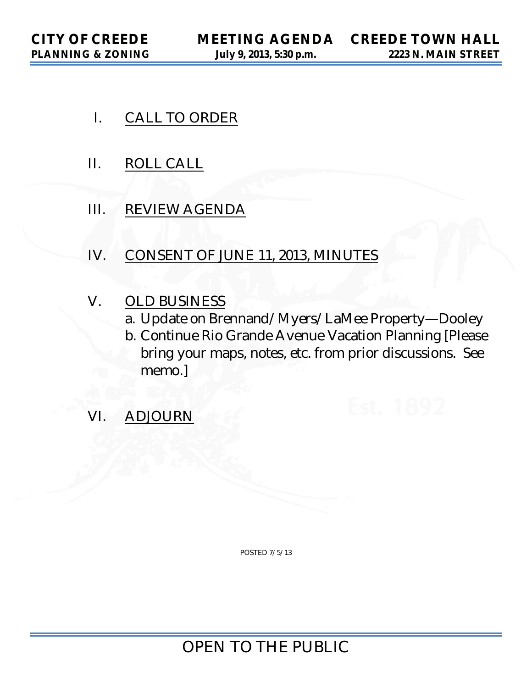- I. CALL TO ORDER
- II. ROLL CALL
- III. REVIEW AGENDA
- IV. CONSENT OF JUNE 11, 2013, MINUTES
- V. OLD BUSINESS
	- a. Update on Brennand/Myers/LaMee Property—Dooley
	- b. Continue Rio Grande Avenue Vacation Planning [Please bring your maps, notes, etc. from prior discussions. See memo.]
- VI. ADJOURN

POSTED 7/5/13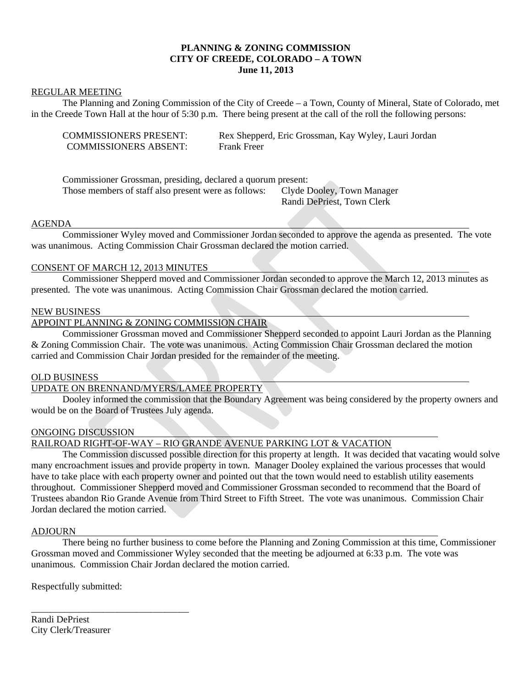# **PLANNING & ZONING COMMISSION CITY OF CREEDE, COLORADO – A TOWN June 11, 2013**

#### REGULAR MEETING

 The Planning and Zoning Commission of the City of Creede – a Town, County of Mineral, State of Colorado, met in the Creede Town Hall at the hour of 5:30 p.m. There being present at the call of the roll the following persons:

| <b>COMMISSIONERS PRESENT:</b> | Rex Shepperd, Eric Grossman, Kay Wyley, Lauri Jordan |
|-------------------------------|------------------------------------------------------|
| <b>COMMISSIONERS ABSENT:</b>  | <b>Frank Freer</b>                                   |

 Commissioner Grossman, presiding, declared a quorum present: Those members of staff also present were as follows: Clyde Dooley, Town Manager Randi DePriest, Town Clerk

#### AGENDA

 Commissioner Wyley moved and Commissioner Jordan seconded to approve the agenda as presented. The vote was unanimous. Acting Commission Chair Grossman declared the motion carried.

#### CONSENT OF MARCH 12, 2013 MINUTES

 Commissioner Shepperd moved and Commissioner Jordan seconded to approve the March 12, 2013 minutes as presented. The vote was unanimous. Acting Commission Chair Grossman declared the motion carried.

#### NEW BUSINESS

#### APPOINT PLANNING & ZONING COMMISSION CHAIR

 Commissioner Grossman moved and Commissioner Shepperd seconded to appoint Lauri Jordan as the Planning & Zoning Commission Chair. The vote was unanimous. Acting Commission Chair Grossman declared the motion carried and Commission Chair Jordan presided for the remainder of the meeting.

#### OLD BUSINESS

# UPDATE ON BRENNAND/MYERS/LAMEE PROPERTY

 Dooley informed the commission that the Boundary Agreement was being considered by the property owners and would be on the Board of Trustees July agenda.

### ONGOING DISCUSSION

## RAILROAD RIGHT-OF-WAY – RIO GRANDE AVENUE PARKING LOT & VACATION

 The Commission discussed possible direction for this property at length. It was decided that vacating would solve many encroachment issues and provide property in town. Manager Dooley explained the various processes that would have to take place with each property owner and pointed out that the town would need to establish utility easements throughout. Commissioner Shepperd moved and Commissioner Grossman seconded to recommend that the Board of Trustees abandon Rio Grande Avenue from Third Street to Fifth Street. The vote was unanimous. Commission Chair Jordan declared the motion carried.

#### ADJOURN

 There being no further business to come before the Planning and Zoning Commission at this time, Commissioner Grossman moved and Commissioner Wyley seconded that the meeting be adjourned at 6:33 p.m. The vote was unanimous. Commission Chair Jordan declared the motion carried.

Respectfully submitted:

\_\_\_\_\_\_\_\_\_\_\_\_\_\_\_\_\_\_\_\_\_\_\_\_\_\_\_\_\_\_\_\_\_

Randi DePriest City Clerk/Treasurer